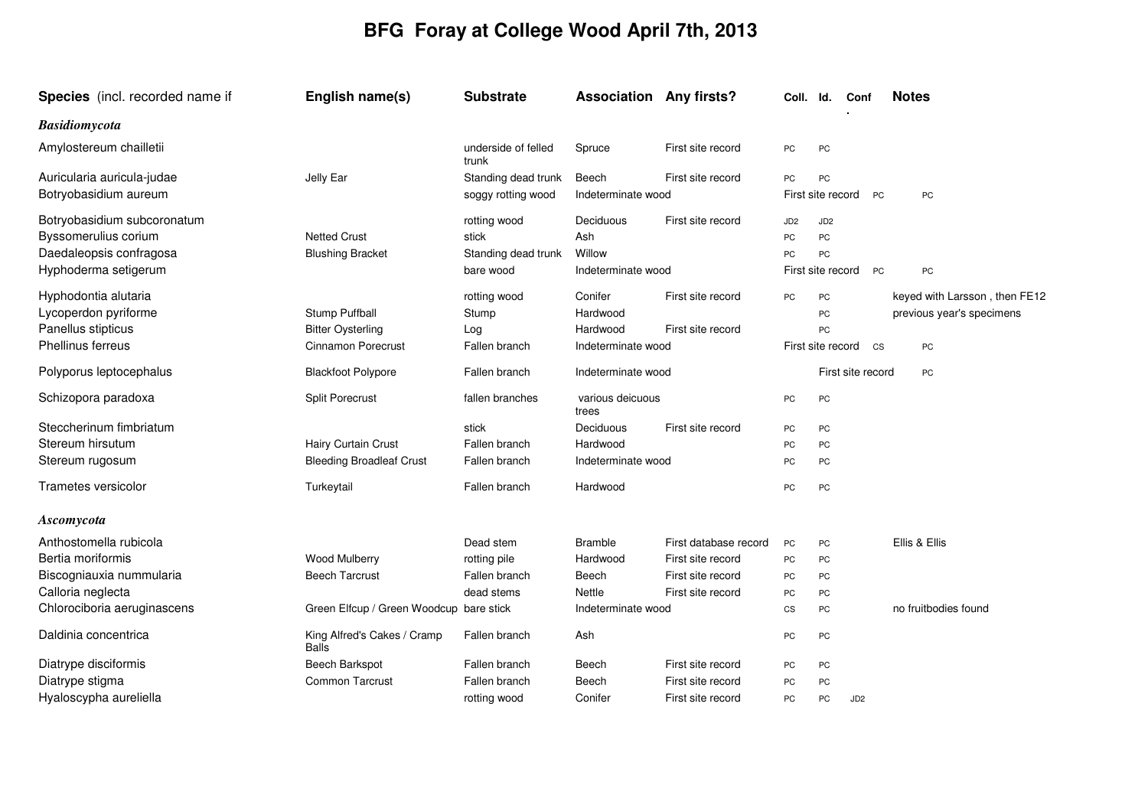## **BFG Foray at College Wood April 7th, 2013**

| <b>Species</b> (incl. recorded name if | English name(s)                             | <b>Substrate</b>             | <b>Association Any firsts?</b> |                       | Coll.                    | Id.               | Conf              | <b>Notes</b>                  |
|----------------------------------------|---------------------------------------------|------------------------------|--------------------------------|-----------------------|--------------------------|-------------------|-------------------|-------------------------------|
| <b>Basidiomycota</b>                   |                                             |                              |                                |                       |                          |                   |                   |                               |
| Amylostereum chailletii                |                                             | underside of felled<br>trunk | Spruce                         | First site record     | PC                       | PC                |                   |                               |
| Auricularia auricula-judae             | Jelly Ear                                   | Standing dead trunk          | Beech                          | First site record     | PC                       | PC                |                   |                               |
| Botryobasidium aureum                  |                                             | soggy rotting wood           | Indeterminate wood             |                       |                          | First site record | <b>PC</b>         | PC                            |
| Botryobasidium subcoronatum            |                                             | rotting wood                 | Deciduous                      | First site record     | JD <sub>2</sub>          | JD <sub>2</sub>   |                   |                               |
| Byssomerulius corium                   | <b>Netted Crust</b>                         | stick                        | Ash                            |                       | PC                       | PC                |                   |                               |
| Daedaleopsis confragosa                | <b>Blushing Bracket</b>                     | Standing dead trunk          | Willow                         |                       | PC                       | PC                |                   |                               |
| Hyphoderma setigerum                   |                                             | bare wood                    | Indeterminate wood             |                       |                          | First site record | <b>PC</b>         | PC                            |
| Hyphodontia alutaria                   |                                             | rotting wood                 | Conifer                        | First site record     | <b>PC</b>                | <b>PC</b>         |                   | keyed with Larsson, then FE12 |
| Lycoperdon pyriforme                   | Stump Puffball                              | Stump                        | Hardwood                       |                       |                          | PC                |                   | previous year's specimens     |
| Panellus stipticus                     | <b>Bitter Oysterling</b>                    | Log                          | Hardwood                       | First site record     |                          | PC                |                   |                               |
| <b>Phellinus ferreus</b>               | <b>Cinnamon Porecrust</b>                   | Fallen branch                | Indeterminate wood             |                       |                          | First site record | CS                | PC                            |
| Polyporus leptocephalus                | <b>Blackfoot Polypore</b>                   | Fallen branch                | Indeterminate wood             |                       |                          |                   | First site record | PC                            |
| Schizopora paradoxa                    | <b>Split Porecrust</b>                      | fallen branches              | various deicuous<br>trees      |                       | PC                       | PC                |                   |                               |
| Steccherinum fimbriatum                |                                             | stick                        | Deciduous                      | First site record     | PC                       | PC                |                   |                               |
| Stereum hirsutum                       | <b>Hairy Curtain Crust</b>                  | Fallen branch                | Hardwood                       |                       | PC                       | PC                |                   |                               |
| Stereum rugosum                        | <b>Bleeding Broadleaf Crust</b>             | Fallen branch                | Indeterminate wood             |                       | PC                       | PC                |                   |                               |
| Trametes versicolor                    | Turkeytail                                  | Fallen branch                | Hardwood                       |                       | PC                       | PC                |                   |                               |
| Ascomycota                             |                                             |                              |                                |                       |                          |                   |                   |                               |
| Anthostomella rubicola                 |                                             | Dead stem                    | <b>Bramble</b>                 | First database record | PC                       | PC                |                   | Ellis & Ellis                 |
| Bertia moriformis                      | Wood Mulberry                               | rotting pile                 | Hardwood                       | First site record     | PC                       | PC                |                   |                               |
| Biscogniauxia nummularia               | <b>Beech Tarcrust</b>                       | Fallen branch                | Beech                          | First site record     | PC                       | PC                |                   |                               |
| Calloria neglecta                      |                                             | dead stems                   | Nettle                         | First site record     | PC                       | PC                |                   |                               |
| Chlorociboria aeruginascens            | Green Elfcup / Green Woodcup bare stick     |                              | Indeterminate wood             |                       | $\mathsf{CS}\phantom{0}$ | PC                |                   | no fruitbodies found          |
| Daldinia concentrica                   | King Alfred's Cakes / Cramp<br><b>Balls</b> | Fallen branch                | Ash                            |                       | PC                       | PC                |                   |                               |
| Diatrype disciformis                   | Beech Barkspot                              | Fallen branch                | Beech                          | First site record     | PC                       | PC                |                   |                               |
| Diatrype stigma                        | <b>Common Tarcrust</b>                      | Fallen branch                | Beech                          | First site record     | PC                       | PC                |                   |                               |
| Hyaloscypha aureliella                 |                                             | rotting wood                 | Conifer                        | First site record     | PC                       | PC                | JD <sub>2</sub>   |                               |